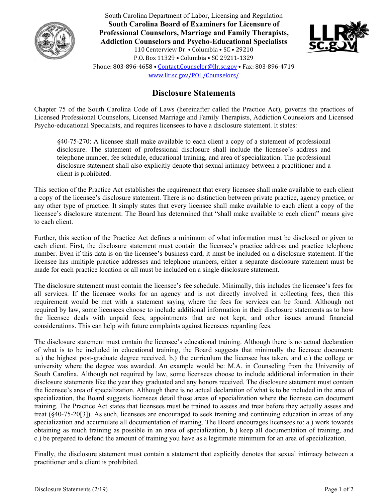

South Carolina Department of Labor, Licensing and Regulation **South Carolina Board of Examiners for Licensure of Professional Counselors, Marriage and Family Therapists, Addiction Counselors and Psycho-Educational Specialists**  110 Centerview Dr. • Columbia • SC • 29210 P.O. Box 11329 • Columbia • SC 29211-1329 Phone: 803-896-4658 • Contact.Counselor@llr.sc.gov • Fax: 803-896-4719 www.llr.sc.gov/POL/Counselors/



## **Disclosure Statements**

Chapter 75 of the South Carolina Code of Laws (hereinafter called the Practice Act), governs the practices of Licensed Professional Counselors, Licensed Marriage and Family Therapists, Addiction Counselors and Licensed Psycho-educational Specialists, and requires licensees to have a disclosure statement. It states:

 §40-75-270: A licensee shall make available to each client a copy of a statement of professional disclosure. The statement of professional disclosure shall include the licensee's address and telephone number, fee schedule, educational training, and area of specialization. The professional disclosure statement shall also explicitly denote that sexual intimacy between a practitioner and a client is prohibited.

This section of the Practice Act establishes the requirement that every licensee shall make available to each client a copy of the licensee's disclosure statement. There is no distinction between private practice, agency practice, or any other type of practice. It simply states that every licensee shall make available to each client a copy of the licensee's disclosure statement. The Board has determined that "shall make available to each client" means give to each client.

Further, this section of the Practice Act defines a minimum of what information must be disclosed or given to each client. First, the disclosure statement must contain the licensee's practice address and practice telephone number. Even if this data is on the licensee's business card, it must be included on a disclosure statement. If the licensee has multiple practice addresses and telephone numbers, either a separate disclosure statement must be made for each practice location or all must be included on a single disclosure statement.

The disclosure statement must contain the licensee's fee schedule. Minimally, this includes the licensee's fees for all services. If the licensee works for an agency and is not directly involved in collecting fees, then this requirement would be met with a statement saying where the fees for services can be found. Although not required by law, some licensees choose to include additional information in their disclosure statements as to how the licensee deals with unpaid fees, appointments that are not kept, and other issues around financial considerations. This can help with future complaints against licensees regarding fees.

The disclosure statement must contain the licensee's educational training. Although there is no actual declaration of what is to be included in educational training, the Board suggests that minimally the licensee document: a.) the highest post-graduate degree received, b.) the curriculum the licensee has taken, and c.) the college or university where the degree was awarded. An example would be: M.A. in Counseling from the University of South Carolina. Although not required by law, some licensees choose to include additional information in their disclosure statements like the year they graduated and any honors received. The disclosure statement must contain the licensee's area of specialization. Although there is no actual declaration of what is to be included in the area of specialization, the Board suggests licensees detail those areas of specialization where the licensee can document training. The Practice Act states that licensees must be trained to assess and treat before they actually assess and treat (§40-75-20[3]). As such, licensees are encouraged to seek training and continuing education in areas of any specialization and accumulate all documentation of training. The Board encourages licensees to: a.) work towards obtaining as much training as possible in an area of specialization, b.) keep all documentation of training, and c.) be prepared to defend the amount of training you have as a legitimate minimum for an area of specialization.

Finally, the disclosure statement must contain a statement that explicitly denotes that sexual intimacy between a practitioner and a client is prohibited.